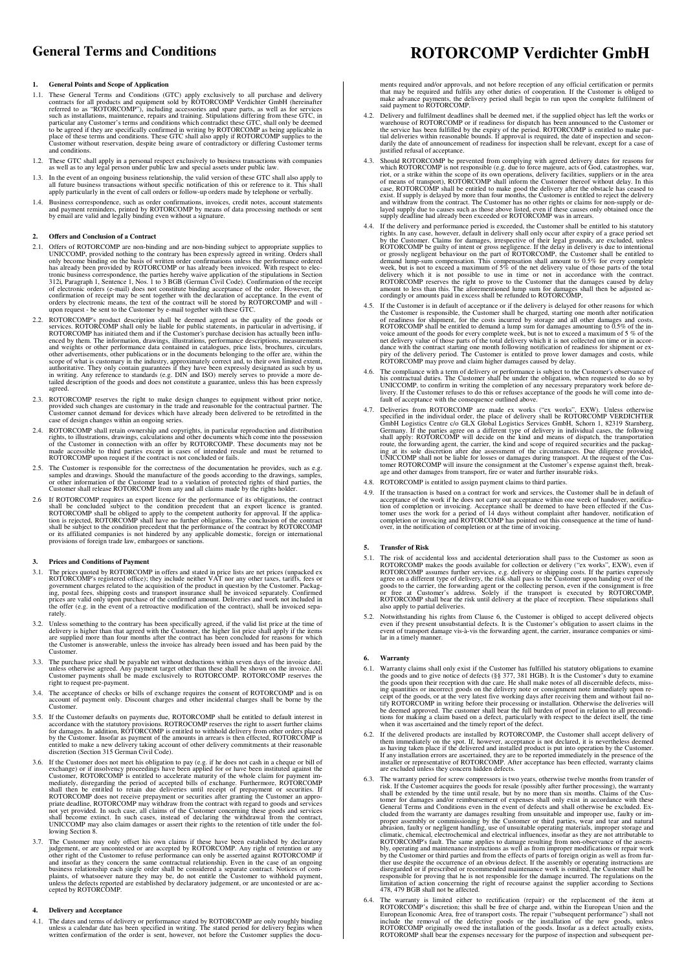### **1. General Points and Scope of Application**

- 1.1. These General Terms and Conditions (GTC) apply exclusively to all purchase and delivery<br>contracts for all products and equipment sold by ROTORCOMP verdichter GmbH (hereinafter<br>referred to as "ROTORCOMP"), including ac
- 1.2. These GTC shall apply in a personal respect exclusively to business transactions with companies as well as to any legal person under public law and special assets under public law.
- 1.3. In the event of an ongoing business relationship, the valid version of these GTC shall also apply to all future business transactions without specific notification of this or reference to it. This shall apply particul
- 1.4. Business correspondence, such as order confirmations, invoices, credit notes, account statements and payment reminders, printed by ROTORCOMP by means of data processing methods or sent by email are valid and legally b

#### **2. Offers and Conclusion of a Contract**

- 2.1. Offers of ROTORCOMP are non-binding and are non-binding subject to appropriate supplies to UNICCOMP, provided nothing to the contrary has been expressly agreed in writing. Orders shall only become binding on the basis
- 2.2. ROTORCOMP's product description shall be deemed agreed as the quality of the goods or services. ROTORCOMP shall only be liable for public statements, in particular in advertising, if proced Networth ROTORCOMP has init
- 2.3. ROTORCOMP reserves the right to make design changes to equipment without prior notice, provided such changes are customary in the trade and reasonable for the contractual partner. The Customer cannot demand for device
- 2.4. ROTORCOMP shall retain ownership and copyrights, in particular reproduction and distribution rights, to lilustrations, drawings, calculations and other documents which come into the possession of the Customer in conne
- 2.5. The Customer is responsible for the correctness of the documentation he provides, such as e.g. samples and drawings. Should the manufacture of the goods according to the drawings, samples, or other information of the
- 2.6 If ROTORCOMP requires an export licence for the performance of its obligations, the contract shall be concluded subject to the condition precedent that an export licence is granted. ROTORCOMP shall be obliged to apply

### **3. Prices and Conditions of Payment**

- 3.1. The prices quoted by ROTORCOMP in offers and stated in price lists are net prices (unpacked ex-<br>ROTORCOMP's registered office.): they include neither VAT nor any other taxes, tariffs, fees or<br>government charges relat
- 3.2. Unless something to the contrary has been specifically agreed, if the valid list price at the time of delivery is higher than that agreed with the Customer, the higher list price shall apply if the items are supplied the Customer is answerable, unless the invoice has already been issued and has been paid by the Customer.
- 3.3. The purchase price shall be payable net without deductions within seven days of the invoice date, unless otherwise agreed. Any payment target other than these shall be shown on the invoice. All Customer payments shall right to request pre-payment.
- 3.4. The acceptance of checks or bills of exchange requires the consent of ROTORCOMP and is on account of payment only. Discount charges and other incidental charges shall be borne by the Customer.
- 3.5. If the Customer defaults on payments due, ROTORCOMP shall be entitled to default interest in accordance with the statutory provisions. ROTROCOMP reserves the right to assert further claims for damages. In addition, RO
- 3.6. If the Customer does not meet his obligation to pay (e.g. if he does not cash in a cheque or bill of exchange) or if insolvency proceedings have been applied for or have been instituted against the Customer, ROTORCOM
- 3.7. The Customer may only offset his own claims if these have been established by declaratory judgement, or are contested or as accepted by ROTORCOMP. Any right of retation or any other right of the Customer to reflue per

#### **4. Delivery and Acceptance**

4.1. The dates and terms of delivery or performance stated by ROTORCOMP are only roughly binding unless a calendar date has been specified in writing. The stated period for delivery begins written confirmation of the order

# **General Terms and Conditions ROTORCOMP Verdichter GmbH**

ments required and/or approvals, and not before reception of any official certification or permits<br>that may be required and fulfils any other duties of cooperation. If the Customer is obliged to<br>make advance payments, the

- 4.2. Delivery and fulfilment deadlines shall be deemed met, if the supplied object has left the works or warehouse of ROTORCOMP or if readiness for dispatch has been announced to the Customer or the service has been fulfil justified refusal of acceptance.
- 4.3. Should ROTORCOMP be prevented from complying with agreed delivery dates for reasons for which ROTORCOMP is not responsible (e.g. due to force majeure, acts of God, catastrophes, war, rich, or a strike within the scope
- 4.4. If the delivery and performance period is exceeded, the Customer shall be entitled to his statutory rights. In any case, however, default in delivery shall only occur after expiry of a grace period set ROTORCOMP be g
- 4.5. If the Customer is in default of acceptance or if the delivery is delayed for other reasons for which the Customer is responsible, the Customer shall be charged, starting one month after notification of readiness for
- 4.6. The compliance with a term of delivery or performance is subject to the Customer's observance of his contractual duties. The Customer shall be under the obligation, when requested to do so by UNICCOMP, to confirm in w
- 4.7. Deliveries from ROTORCOMP are made ex works ("ex works", EXW). Unless otherwise specified in the individual order, the place of delivery shall be ROTORCOMP VERDICHTER GmbH Logistics Centre c/o GLX Global Logistics Ser

### 4.8. ROTORCOMP is entitled to assign payment claims to third parties.

4.9. If the transaction is based on a contract for work and services, the Customer shall be in default of acceptance of the work if he does not carry out acceptance within one week of handover, notifica-<br>tion of completion or invoicing. Acceptance shall be deemed to have been effected if the Cus-<br>tomer uses the work for a peri

#### **5. Transfer of Risk**

- 5.1. The risk of accidental loss and accidental deterioration shall pass to the Customer as soon as<br>ROTORCOMP makes the goods available for collection or delivery ("ex works", EXW), even if<br>ROTORCOMP assumes further servic also apply to partial deliveries.
- 5.2. Notwithstanding his rights from Clause 6, the Customer is obliged to accept delivered objects even if they present unsubstantial defects. It is the Customer's obligation to assert claims in the event of transport dama

### **6. Warranty**

- 6.1. Warranty claims shall only exist if the Customer has fulfilled his statutory obligations to examine the goods and to give notice of defects (§§ 377, 381 HGB). It is the Customer's duty to examine the goods upon their
- 6.2. If the delivered products are installed by ROTORCOMP, the Customer shall accept delivery of them immediately on the spot. If, however, acceptance is not declared, it is nevertheless deemed as having taken place if the
- 6.3. The warranty period for screw compressors is two years, otherwise twelve months from transfer of reside (nosibly after further processing), the warranty shall be extended by the time until resale, but by no more than
- 6.4. The warranty is limited either to rectification (repair) or the replacement of the item at ROTORCOMP's discretion; this shall be free of charge and, within the European Union and the European Denomic Area, free of tra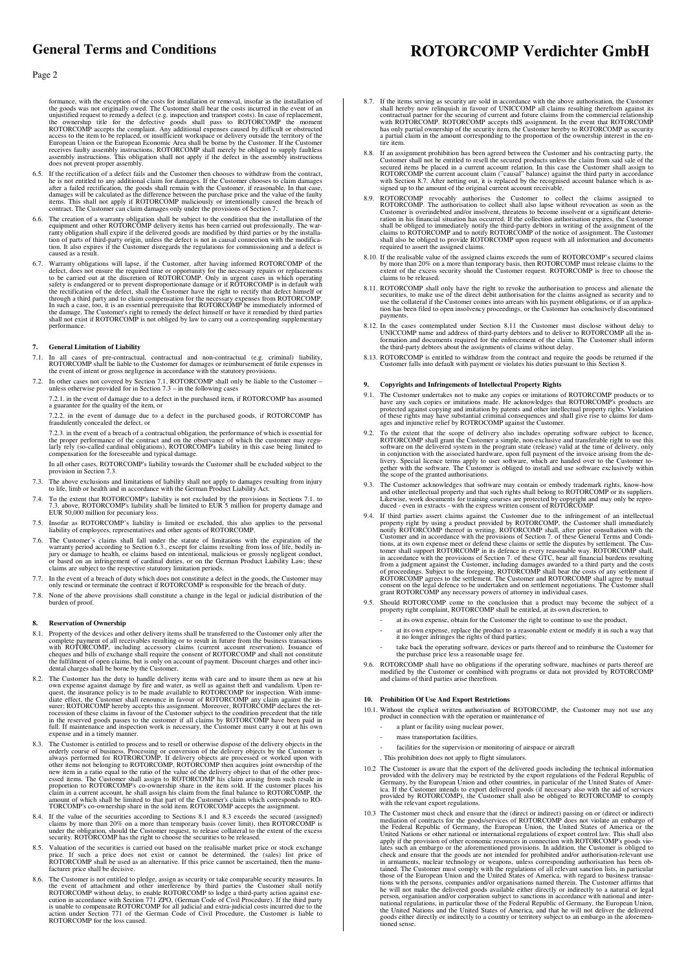## **General Terms and Conditions**

### Page 2

formance, with the exception of the costs for installation or removal, insofar as the installation of the goods was not originally owed. The Customer shall bear the costs incurred in the event of an unjustified request to does not prevent proper assembly

- 6.5. If the rectification of a defect fails and the Customer then chooses to withdraw from the contract, he is not entitled to any additional claim for damages. If the Customer chooses to claim damages will be calculated a
- 6.6. The creation of a warranty obligation shall be subject to the condition that the installation of the capital equipment and other ROTORCOMP delivery items has been carried out professionally. The warranty obligation sh caused as a result.
- 6.7. Warranty obligations will lapse, if the Customer, after having informed ROTORCOMP of the defect, does not ensure the required time or opportunity for the necessary repairs to the carried out at the discretion of ROTOR

### **7. General Limitation of Liability**

- 7.1. In all cases of pre-contractual, contractual and non-contractual (e.g. criminal) liability, ROTORCOMP shall be liable to the Customer for damages or reimbursement of futile expenses in the event of interaction and pro
- 7.2. In other cases not covered by Section 7.1, ROTORCOMP shall only be liable to the Customer unless otherwise provided for in Section 7.3 in the following cases
- 7.2.1. in the event of damage due to a defect in the purchased item, if ROTORCOMP has assumed a guarantee for the quality of the item, or

7.2.2. in the event of damage due to a defect in the purchased goods, if ROTORCOMP has fraudulently concealed the defect, or

7.2.3. in the event of a breach of a contractual obligation, the performance of which is essential for<br>the proper performance of the contract and on the observance of which the customer may regu-<br>larly rely (so-called card compensation for the foreseeable and typical damage.

- In all other cases, ROTORCOMP's liability towards the Customer shall be excluded subject to the provision in Section 7.3
- 7.3. The above exclusions and limitations of liability shall not apply to damages resulting from injury to life, limb or health and in accordance with the German Product Liability Act.
- 7.4. To the extent that ROTORCOMP's liability is not excluded by the provisions in Sections 7.1. to 7.3. above, ROTORCOMP's liability shall be limited to EUR 5 million for property damage and EUR 50,000 million for pecunia
- 7.5. Insofar as ROTORCOMP's liability is limited or excluded, this also applies to the personal liability of employees, representatives and other agents of ROTORCOMP.
- 7.6. The Customer's claims shall fall under the statute of limitations with the expiration of the warranty period according to Section 6.3., except for claims resulting from loss of life, bodily in-<br>jury or damage to healt
- 7.7. In the event of a breach of duty which does not constitute a defect in the goods, the Customer may only rescind or terminate the contract if ROTORCOMP is responsible for the breach of duty.
- 7.8. None of the above provisions shall constitute a change in the legal or judicial distribution of the burden of proof.

### **8. Reservation of Ownership**

- 8.1. Property of the devices and other delivery items shall be transferred to the Customer only after the complete payment of all receivables resulting or to result in future from the business transactions with ROTORCOMP,
- 8.2. The Customer has the duty to handle delivery items with care and to insure them as new at his own expense against damage by fire and water, as well as against theft and vandalism. Upon request, the insurance policy is
- 8.3. The Customer is entitled to process and to resell or orderwise dispose of the delivery objects in the orderly course of business. Processing or conversion of the delivery objects by the Customer is always performed fo
- 8.4. If the value of the securities according to Sections 8.1 and 8.3 exceeds the secured (assigned) claims by more than 20% on a more than temporary basis (cover limit), then ROTORCOMP is under the obligation, should the
- Valuation of the securities is carried out based on the realisable market price or stock exchange price. If such a price does not exist or cannot be determined, the (sales) list price of ROTORCOMP shall be used as an alternative. If this price cannot be ascertained, then the manufacturer price shall be decisive.
- 8.6. The Customer is not entitled to pledge, assign as security or take comparable security measures. In the event of attachment and other interference by third parties the Customer shall notify ROTORCOMP without delay, to

## **ROTORCOMP Verdichter GmbH**

- 8.7. If the items serving as security are sold in accordance with the above authorisation, the Customer shall hereby now relinquish in favour of UNICCOMP all claims resulting therefrom against its contractual partner for t tire item.
- 8.8. If an assignment prohibition has been agreed between the Customer and his contracting party, the Customer shall not be entitled to resell the secured idense the claim from said sale of the secured items be placed in a
- 8.9. ROTORCOMP revocably authorises the Customer to collect the claims assigned to ROTORCOMP revocably authorises to the stand also lapse without revocation as soon as the Customer is overindebted and/or insolvent, threate
- 8.10. If the realisable value of the assigned claims exceeds the sum of ROTORCOMP's secured claims by more than 20% on a more than temporary basis, then ROTORCOMP must release claims to the extent of the excess security sh
- 8.11. ROTORCOMP shall only have the right to revoke the authorisation to process and alienate the securities, to make use of the direct debit authorisation for the claims assigned as security and to use the collateral if t payments.
- 8.12. In the cases contemplated under Section 8.11 the Customer must disclose without delay to UNICCOMP name and address of third-party debtors and to deliver to ROTORCOMP all the information and documents required for the
- 8.13. ROTORCOMP is entitled to withdraw from the contract and require the goods be returned if the Customer falls into default with payment or violates his duties pursuant to this Section 8.

### **9. Copyrights and Infringements of Intellectual Property Rights**

- 9.1. The Customer undertakes not to make any copies or imitations of ROTORCOMP products or to have any such copies or imitations made. He acknowledges that ROTORCOMP's products are protected against copying and imitation b
- 9.2. To the extent that the scope of delivery also includes operating software subject to licence, R ROTORCOMP shall grant the Customer a simple, non-exclusive and transferable right to use this software on the delivered s
- 9.3. The Customer acknowledges that software may contain or embody trademark rights, know-how and other intellectual property and that such rights shall belong to ROTORCOMP or its suppliers. Likewise, work documents for tr
- 9.4. If third parties assert claims against the Customer due to the infriguement of an intellectual<br>property right by using a product provided by ROTORCOMP, the Customer shall immediately<br>profity ROTORCOMP thereof in writi
- 9.5. Should ROTORCOMP come to the conclusion that a product may become the subject of a property right complaint, ROTORCOMP shall be entitled, at its own discretion, to
	- at its own expense, obtain for the Customer the right to continue to use the product,
	- at its own expense, replace the product to a reasonable extent or modify it in such a way that it no longer infringes the rights of third parties;
	- take back the operating software, devices or parts thereof and to reimburse the Customer for the purchase price less a reasonable usage fee.
- 9.6. ROTORCOMP shall have no obligations if the operating software, machines or parts thereof are modified by the Customer or combined with programs or data not provided by ROTORCOMP and claims of third parties arise there

### **10. Prohibition Of Use And Export Restrictions**

- 10.1. Without the explicit written authorisation of ROTORCOMP, the Customer may not use any product in connection with the operation or maintenance of
	- a plant or facility using nuclear power,
	- mass transportation facilities.
	- facilities for the supervision or monitoring of airspace or aircraft

. This prohibition does not apply to flight simulators.

- 10.2 The Customer is aware that the export of the delivered goods including the technical information provided with the delivery may be restricted by the export regulations of the Federal Republic of Cermany, by the Europe
- 10.3 The Customer must check and ensure that the (direct or indirect) passing on or (direct or indirect)<br>mediation of contracts for the goods/services of ROTORCOMP does not violate an embargo of<br>the Federal Republic of Ger goods either directly or indirectly to a country or territory subject to an embargo in the aforemented sense.